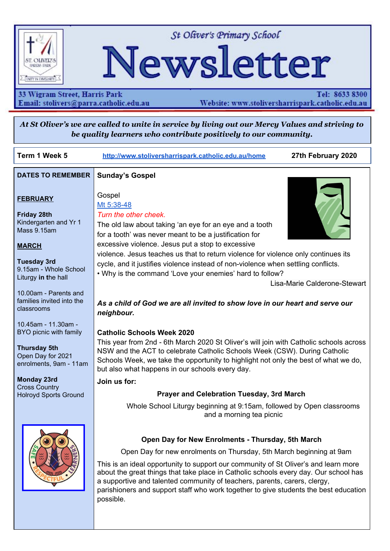

St Oliver's Primary School

# Newsletter

33 Wigram Street, Harris Park Email: stolivers@parra.catholic.edu.au

Tel: 8633 8300 Website: www.stoliversharrispark.catholic.edu.au

At St Oliver's we are called to unite in service by living out our Mercy Values and striving to be quality learners who contribute positively to our community.

| Term 1 Week 5                                                                                                       | http://www.stoliversharrispark.catholic.edu.au/home                                                                                                                                                                                                                                                                                                                                                                                                                                       | 27th February 2020           |
|---------------------------------------------------------------------------------------------------------------------|-------------------------------------------------------------------------------------------------------------------------------------------------------------------------------------------------------------------------------------------------------------------------------------------------------------------------------------------------------------------------------------------------------------------------------------------------------------------------------------------|------------------------------|
| <b>DATES TO REMEMBER</b>                                                                                            | <b>Sunday's Gospel</b>                                                                                                                                                                                                                                                                                                                                                                                                                                                                    |                              |
| <b>FEBRUARY</b><br><b>Friday 28th</b><br>Kindergarten and Yr 1<br>Mass 9.15am<br><b>MARCH</b>                       | Gospel<br>Mt 5:38-48<br>Turn the other cheek.<br>The old law about taking 'an eye for an eye and a tooth<br>for a tooth' was never meant to be a justification for<br>excessive violence. Jesus put a stop to excessive                                                                                                                                                                                                                                                                   |                              |
| <b>Tuesday 3rd</b><br>9.15am - Whole School<br>Liturgy in the hall                                                  | violence. Jesus teaches us that to return violence for violence only continues its<br>cycle, and it justifies violence instead of non-violence when settling conflicts.<br>. Why is the command 'Love your enemies' hard to follow?                                                                                                                                                                                                                                                       |                              |
| 10.00am - Parents and                                                                                               |                                                                                                                                                                                                                                                                                                                                                                                                                                                                                           | Lisa-Marie Calderone-Stewart |
| families invited into the<br>classrooms                                                                             | As a child of God we are all invited to show love in our heart and serve our<br>neighbour.                                                                                                                                                                                                                                                                                                                                                                                                |                              |
| 10.45am - 11.30am -<br>BYO picnic with family<br><b>Thursday 5th</b><br>Open Day for 2021<br>enrolments, 9am - 11am | <b>Catholic Schools Week 2020</b><br>This year from 2nd - 6th March 2020 St Oliver's will join with Catholic schools across<br>NSW and the ACT to celebrate Catholic Schools Week (CSW). During Catholic<br>Schools Week, we take the opportunity to highlight not only the best of what we do,<br>but also what happens in our schools every day.                                                                                                                                        |                              |
| <b>Monday 23rd</b><br><b>Cross Country</b>                                                                          | Join us for:                                                                                                                                                                                                                                                                                                                                                                                                                                                                              |                              |
| <b>Holroyd Sports Ground</b>                                                                                        | <b>Prayer and Celebration Tuesday, 3rd March</b>                                                                                                                                                                                                                                                                                                                                                                                                                                          |                              |
|                                                                                                                     | Whole School Liturgy beginning at 9:15am, followed by Open classrooms<br>and a morning tea picnic                                                                                                                                                                                                                                                                                                                                                                                         |                              |
|                                                                                                                     | Open Day for New Enrolments - Thursday, 5th March<br>Open Day for new enrolments on Thursday, 5th March beginning at 9am<br>This is an ideal opportunity to support our community of St Oliver's and learn more<br>about the great things that take place in Catholic schools every day. Our school has<br>a supportive and talented community of teachers, parents, carers, clergy,<br>parishioners and support staff who work together to give students the best education<br>possible. |                              |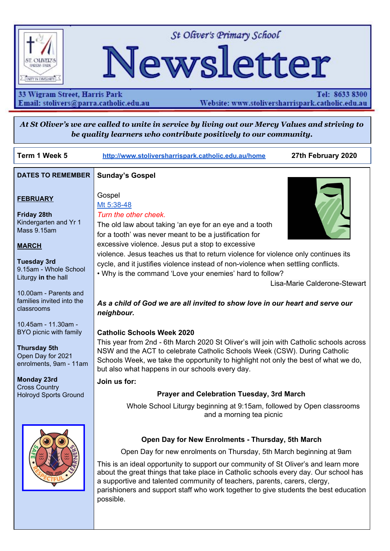### **Project Compassion** LET'S GO FURTHER, TOGETHER

Lent has begun with Ash Wednesday, which also marked the beginning of the annual Caritas Australia Project Compassion Appeal. Donations to Project Compassion allow Caritas Australia, the Catholic Agency for International Aid and Development, to work with local communities around the world to alleviate poverty, hunger, oppression and injustice.

*We encourage you to put your compassion into action this Lent through your prayer, fasting and almsgiving by supporting Project Compassion. Each classroom will have a Project Compassion box for donations.*

#### **Student prayers**

Dearest God, thank you for everything I have. Please help those in need. Amen. Anthony, Yr 2

Dear God, thank you for guiding my grandpa to heaven this week. Please help him to be happy in heaven. Also please help the sick people in hospital. Amen. Xavier, Yr 3

Dear God, thank you for giving me a roof over my head. Thank you for giving me food and water. May you watch over us. May you please help the homeless. Amen. David, Yr 4

Dear God, I am grateful for my beautiful family and friends. I'm also very grateful for my wonderful mother. I'm thankful that the fires are over, rest in peace to the 3 children and firemen who have died. I can now see clear beautiful blue sky, thank you God for protecting me. Amen. Mya, Yr 4

Dear God, I am grateful for all you have done and what is in the small but beautiful Australia. Thank you for keeping everyone I know safe and alive. Can you please rain where there are fires. Amen. Ella, Yr 4

Dear God, Thank you for this wonderful day, for all the friends we meet. Please help the people affected by the bushfires to have strength. Thank you for keeping us safe during the drought and giving farmers water that they needed because of the fires. . Amen. Gabriel, Yr 4

#### **PBS4L News**

Congratulations to our Oli Star Class - Year 2

#### **Oli News**

This week we will continue to focus on being safe.

Oli say's: Hands and feet to self!





## **CELEBRATING CATHOLIC SCHOOLS WEEK AT AT ST AT ST OLIVER'S - TUESDAY 3RD MARCH**

St Oliver's will be celebrating Catholic Schools Week next Tuesday, 3rd March. All are welcome to join us.



- 9:15am Whole school Liturgy in the Hall
- 10:00am Celebration of Learning open classrooms. Parents and families are invited into the classrooms.



10.45am BYO Picnic morning tea with the children

We look forward to seeing all our families